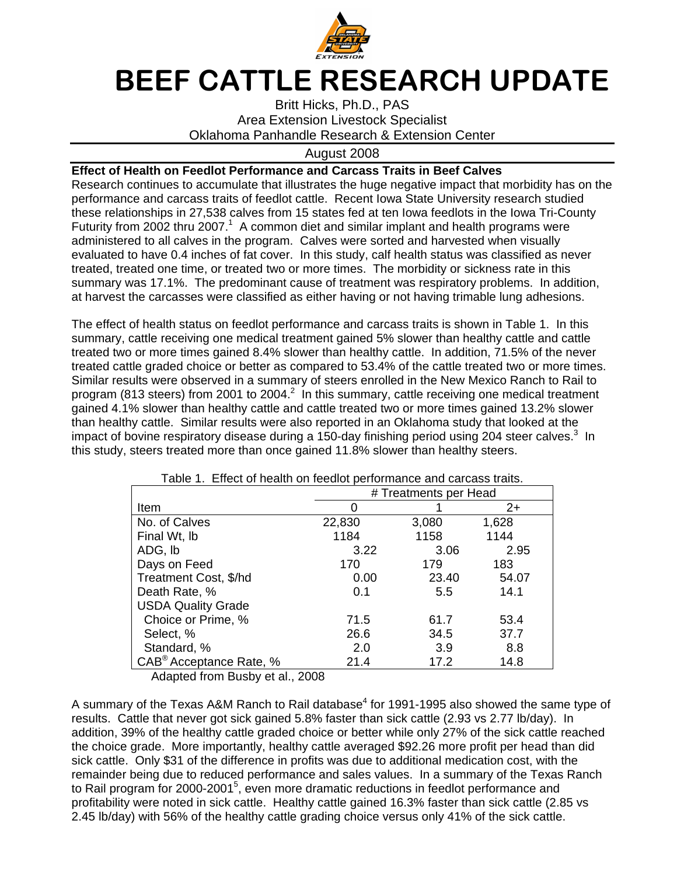

## BEEF CATTLE RESEARCH UPDATE

Britt Hicks, Ph.D., PAS Area Extension Livestock Specialist Oklahoma Panhandle Research & Extension Center

## August 2008

## **Effect of Health on Feedlot Performance and Carcass Traits in Beef Calves**

Research continues to accumulate that illustrates the huge negative impact that morbidity has on the performance and carcass traits of feedlot cattle. Recent Iowa State University research studied these relationships in 27,538 calves from 15 states fed at ten Iowa feedlots in the Iowa Tri-County Futurity from 2002 thru 2007.<sup>1</sup> A common diet and similar implant and health programs were administered to all calves in the program. Calves were sorted and harvested when visually evaluated to have 0.4 inches of fat cover. In this study, calf health status was classified as never treated, treated one time, or treated two or more times. The morbidity or sickness rate in this summary was 17.1%. The predominant cause of treatment was respiratory problems. In addition, at harvest the carcasses were classified as either having or not having trimable lung adhesions.

The effect of health status on feedlot performance and carcass traits is shown in Table 1. In this summary, cattle receiving one medical treatment gained 5% slower than healthy cattle and cattle treated two or more times gained 8.4% slower than healthy cattle. In addition, 71.5% of the never treated cattle graded choice or better as compared to 53.4% of the cattle treated two or more times. Similar results were observed in a summary of steers enrolled in the New Mexico Ranch to Rail to program (813 steers) from 2001 to 2004. $^2$  In this summary, cattle receiving one medical treatment gained 4.1% slower than healthy cattle and cattle treated two or more times gained 13.2% slower than healthy cattle. Similar results were also reported in an Oklahoma study that looked at the impact of bovine respiratory disease during a 150-day finishing period using 204 steer calves.<sup>3</sup> In this study, steers treated more than once gained 11.8% slower than healthy steers.

| rable 1. Lifect of Health on reculor performance and carcass traits. |                       |       |       |
|----------------------------------------------------------------------|-----------------------|-------|-------|
|                                                                      | # Treatments per Head |       |       |
| Item                                                                 |                       |       | 2+    |
| No. of Calves                                                        | 22,830                | 3,080 | 1,628 |
| Final Wt, Ib                                                         | 1184                  | 1158  | 1144  |
| ADG, Ib                                                              | 3.22                  | 3.06  | 2.95  |
| Days on Feed                                                         | 170                   | 179   | 183   |
| Treatment Cost, \$/hd                                                | 0.00                  | 23.40 | 54.07 |
| Death Rate, %                                                        | 0.1                   | 5.5   | 14.1  |
| <b>USDA Quality Grade</b>                                            |                       |       |       |
| Choice or Prime, %                                                   | 71.5                  | 61.7  | 53.4  |
| Select, %                                                            | 26.6                  | 34.5  | 37.7  |
| Standard, %                                                          | 2.0                   | 3.9   | 8.8   |
| CAB <sup>®</sup> Acceptance Rate, %                                  | 21.4                  | 17.2  | 14.8  |

Table 1. Effect of health on feedlot performance and carcass traits.

Adapted from Busby et al., 2008

A summary of the Texas A&M Ranch to Rail database<sup>4</sup> for 1991-1995 also showed the same type of results. Cattle that never got sick gained 5.8% faster than sick cattle (2.93 vs 2.77 lb/day). In addition, 39% of the healthy cattle graded choice or better while only 27% of the sick cattle reached the choice grade. More importantly, healthy cattle averaged \$92.26 more profit per head than did sick cattle. Only \$31 of the difference in profits was due to additional medication cost, with the remainder being due to reduced performance and sales values. In a summary of the Texas Ranch to Rail program for 2000-2001<sup>5</sup>, even more dramatic reductions in feedlot performance and profitability were noted in sick cattle. Healthy cattle gained 16.3% faster than sick cattle (2.85 vs 2.45 lb/day) with 56% of the healthy cattle grading choice versus only 41% of the sick cattle.